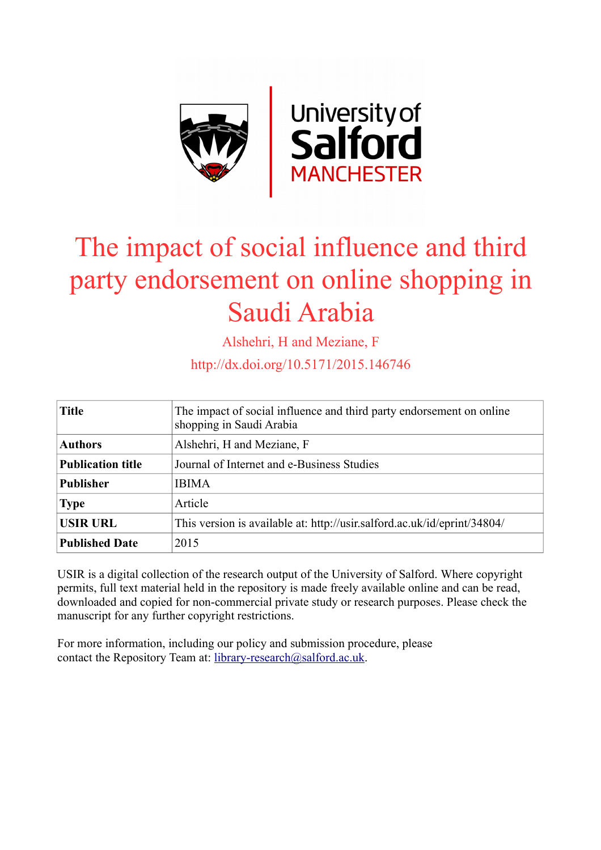

# The impact of social influence and third party endorsement on online shopping in Saudi Arabia

Alshehri, H and Meziane, F

http://dx.doi.org/10.5171/2015.146746

| <b>Title</b>             | The impact of social influence and third party endorsement on online<br>shopping in Saudi Arabia |  |  |
|--------------------------|--------------------------------------------------------------------------------------------------|--|--|
| <b>Authors</b>           | Alshehri, H and Meziane, F                                                                       |  |  |
| <b>Publication title</b> | Journal of Internet and e-Business Studies                                                       |  |  |
| <b>Publisher</b>         | <b>IBIMA</b>                                                                                     |  |  |
| <b>Type</b>              | Article                                                                                          |  |  |
| <b>USIR URL</b>          | This version is available at: http://usir.salford.ac.uk/id/eprint/34804/                         |  |  |
| <b>Published Date</b>    | 2015                                                                                             |  |  |

USIR is a digital collection of the research output of the University of Salford. Where copyright permits, full text material held in the repository is made freely available online and can be read, downloaded and copied for non-commercial private study or research purposes. Please check the manuscript for any further copyright restrictions.

For more information, including our policy and submission procedure, please contact the Repository Team at: [library-research@salford.ac.uk.](mailto:library-research@salford.ac.uk)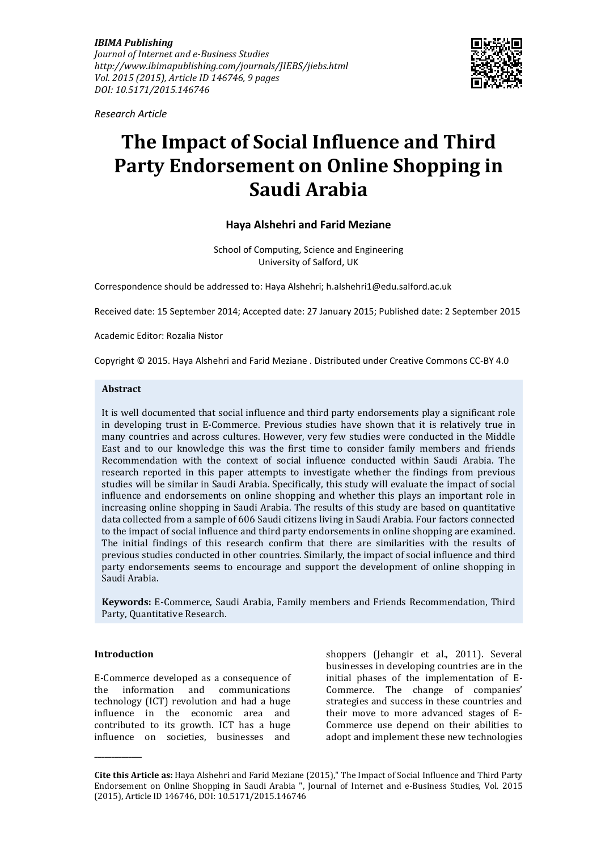*IBIMA Publishing Journal of Internet and e-Business Studies http://www.ibimapublishing.com/journals/JIEBS/jiebs.html Vol. 2015 (2015), Article ID 146746, 9 pages DOI: 10.5171/2015.146746* 



*Research Article* 

# **The Impact of Social Influence and Third Party Endorsement on Online Shopping in Saudi Arabia**

# **Haya Alshehri and Farid Meziane**

School of Computing, Science and Engineering University of Salford, UK

Correspondence should be addressed to: Haya Alshehri; h.alshehri1@edu.salford.ac.uk

Received date: 15 September 2014; Accepted date: 27 January 2015; Published date: 2 September 2015

Academic Editor: Rozalia Nistor

Copyright © 2015. Haya Alshehri and Farid Meziane . Distributed under Creative Commons CC-BY 4.0

#### **Abstract**

It is well documented that social influence and third party endorsements play a significant role in developing trust in E-Commerce. Previous studies have shown that it is relatively true in many countries and across cultures. However, very few studies were conducted in the Middle East and to our knowledge this was the first time to consider family members and friends Recommendation with the context of social influence conducted within Saudi Arabia. The research reported in this paper attempts to investigate whether the findings from previous studies will be similar in Saudi Arabia. Specifically, this study will evaluate the impact of social influence and endorsements on online shopping and whether this plays an important role in increasing online shopping in Saudi Arabia. The results of this study are based on quantitative data collected from a sample of 606 Saudi citizens living in Saudi Arabia. Four factors connected to the impact of social influence and third party endorsements in online shopping are examined. The initial findings of this research confirm that there are similarities with the results of previous studies conducted in other countries. Similarly, the impact of social influence and third party endorsements seems to encourage and support the development of online shopping in Saudi Arabia.

**Keywords:** E-Commerce, Saudi Arabia, Family members and Friends Recommendation, Third Party, Quantitative Research.

#### **Introduction**

**\_\_\_\_\_\_\_\_\_\_\_\_\_\_** 

E-Commerce developed as a consequence of the information and communications technology (ICT) revolution and had a huge influence in the economic area and contributed to its growth. ICT has a huge influence on societies, businesses and

shoppers (Jehangir et al., 2011). Several businesses in developing countries are in the initial phases of the implementation of E-Commerce. The change of companies' strategies and success in these countries and their move to more advanced stages of E-Commerce use depend on their abilities to adopt and implement these new technologies

**Cite this Article as:** Haya Alshehri and Farid Meziane (2015)," The Impact of Social Influence and Third Party Endorsement on Online Shopping in Saudi Arabia ", Journal of Internet and e-Business Studies, Vol. 2015 (2015), Article ID 146746, DOI: 10.5171/2015.146746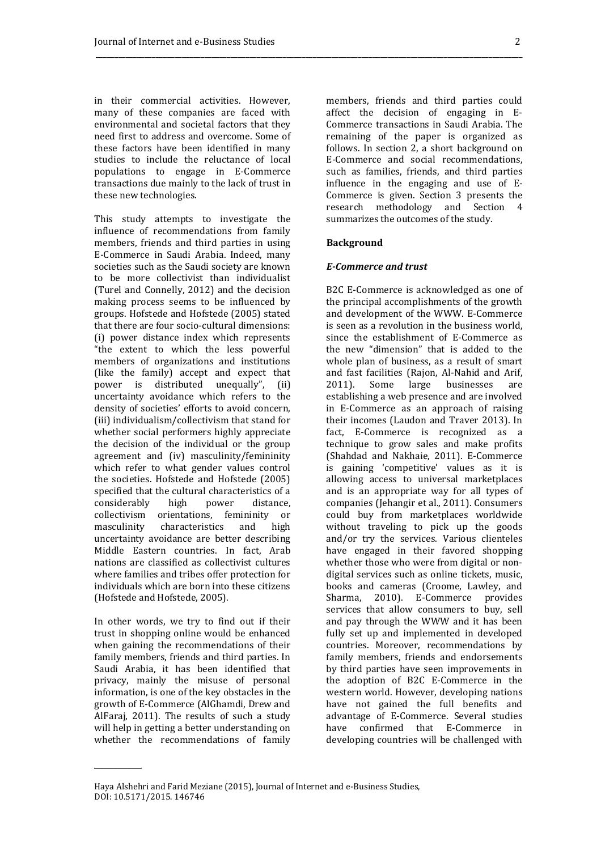in their commercial activities. However, many of these companies are faced with environmental and societal factors that they need first to address and overcome. Some of these factors have been identified in many studies to include the reluctance of local populations to engage in E-Commerce transactions due mainly to the lack of trust in these new technologies.

This study attempts to investigate the influence of recommendations from family members, friends and third parties in using E-Commerce in Saudi Arabia. Indeed, many societies such as the Saudi society are known to be more collectivist than individualist (Turel and Connelly, 2012) and the decision making process seems to be influenced by groups. Hofstede and Hofstede (2005) stated that there are four socio-cultural dimensions: (i) power distance index which represents "the extent to which the less powerful members of organizations and institutions (like the family) accept and expect that power is distributed unequally", (ii) uncertainty avoidance which refers to the density of societies' efforts to avoid concern, (iii) individualism/collectivism that stand for whether social performers highly appreciate the decision of the individual or the group agreement and (iv) masculinity/femininity which refer to what gender values control the societies. Hofstede and Hofstede (2005) specified that the cultural characteristics of a considerably high power distance, collectivism orientations, femininity or masculinity characteristics and high uncertainty avoidance are better describing Middle Eastern countries. In fact, Arab nations are classified as collectivist cultures where families and tribes offer protection for individuals which are born into these citizens (Hofstede and Hofstede, 2005).

In other words, we try to find out if their trust in shopping online would be enhanced when gaining the recommendations of their family members, friends and third parties. In Saudi Arabia, it has been identified that privacy, mainly the misuse of personal information, is one of the key obstacles in the growth of E-Commerce (AlGhamdi, Drew and AlFaraj, 2011). The results of such a study will help in getting a better understanding on whether the recommendations of family

\_\_\_\_\_\_\_\_\_\_\_\_\_\_

members, friends and third parties could affect the decision of engaging in E-Commerce transactions in Saudi Arabia. The remaining of the paper is organized as follows. In section 2, a short background on E-Commerce and social recommendations, such as families, friends, and third parties influence in the engaging and use of E-Commerce is given. Section 3 presents the research methodology and Section 4 summarizes the outcomes of the study.

#### **Background**

\_\_\_\_\_\_\_\_\_\_\_\_\_\_\_\_\_\_\_\_\_\_\_\_\_\_\_\_\_\_\_\_\_\_\_\_\_\_\_\_\_\_\_\_\_\_\_\_\_\_\_\_\_\_\_\_\_\_\_\_\_\_\_\_\_\_\_\_\_\_\_\_\_\_\_\_\_\_\_\_\_\_\_\_\_\_\_\_\_\_\_\_\_\_\_\_\_\_\_\_\_\_\_\_\_\_\_\_\_\_\_\_\_\_

#### *E-Commerce and trust*

B2C E-Commerce is acknowledged as one of the principal accomplishments of the growth and development of the WWW. E-Commerce is seen as a revolution in the business world, since the establishment of E-Commerce as the new "dimension" that is added to the whole plan of business, as a result of smart and fast facilities (Rajon, Al-Nahid and Arif, 2011). Some large businesses are establishing a web presence and are involved in E-Commerce as an approach of raising their incomes (Laudon and Traver 2013). In fact, E-Commerce is recognized as a technique to grow sales and make profits (Shahdad and Nakhaie, 2011). E-Commerce is gaining 'competitive' values as it is allowing access to universal marketplaces and is an appropriate way for all types of companies (Jehangir et al., 2011). Consumers could buy from marketplaces worldwide without traveling to pick up the goods and/or try the services. Various clienteles have engaged in their favored shopping whether those who were from digital or nondigital services such as online tickets, music, books and cameras (Croome, Lawley, and Sharma, 2010). E-Commerce provides services that allow consumers to buy, sell and pay through the WWW and it has been fully set up and implemented in developed countries. Moreover, recommendations by family members, friends and endorsements by third parties have seen improvements in the adoption of B2C E-Commerce in the western world. However, developing nations have not gained the full benefits and advantage of E-Commerce. Several studies have confirmed that E-Commerce in developing countries will be challenged with

Haya Alshehri and Farid Meziane (2015), Journal of Internet and e-Business Studies, DOI: 10.5171/2015. 146746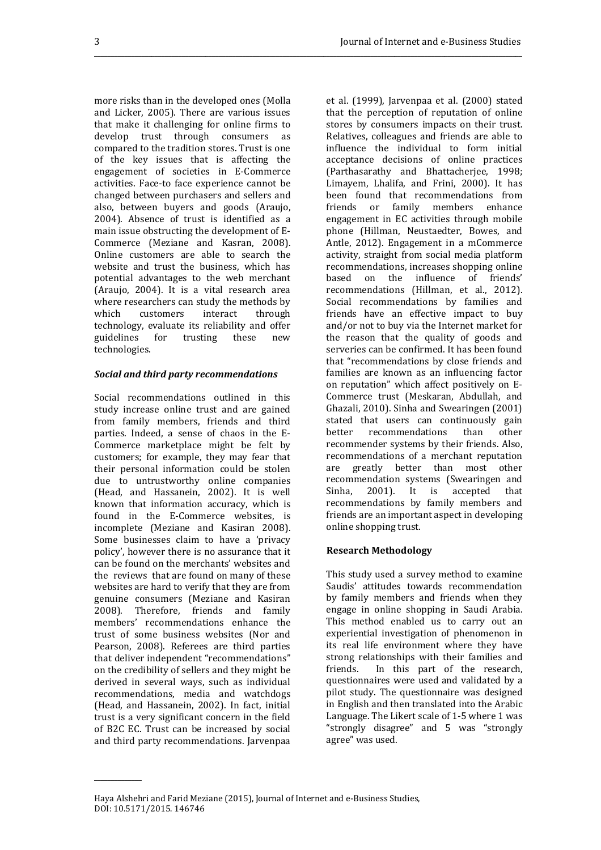\_\_\_\_\_\_\_\_\_\_\_\_\_\_\_\_\_\_\_\_\_\_\_\_\_\_\_\_\_\_\_\_\_\_\_\_\_\_\_\_\_\_\_\_\_\_\_\_\_\_\_\_\_\_\_\_\_\_\_\_\_\_\_\_\_\_\_\_\_\_\_\_\_\_\_\_\_\_\_\_\_\_\_\_\_\_\_\_\_\_\_\_\_\_\_\_\_\_\_\_\_\_\_\_\_\_\_\_\_\_\_\_\_\_\_\_\_\_\_\_\_\_\_\_\_\_\_

more risks than in the developed ones (Molla and Licker, 2005). There are various issues that make it challenging for online firms to develop trust through consumers as compared to the tradition stores. Trust is one of the key issues that is affecting the engagement of societies in E-Commerce activities. Face-to face experience cannot be changed between purchasers and sellers and also, between buyers and goods (Araujo, 2004). Absence of trust is identified as a main issue obstructing the development of E-Commerce (Meziane and Kasran, 2008). Online customers are able to search the website and trust the business, which has potential advantages to the web merchant (Araujo, 2004). It is a vital research area where researchers can study the methods by which customers interact through technology, evaluate its reliability and offer guidelines for trusting these new technologies.

## *Social and third party recommendations*

Social recommendations outlined in this study increase online trust and are gained from family members, friends and third parties. Indeed, a sense of chaos in the E-Commerce marketplace might be felt by customers; for example, they may fear that their personal information could be stolen due to untrustworthy online companies (Head, and Hassanein, 2002). It is well known that information accuracy, which is found in the E-Commerce websites, is incomplete (Meziane and Kasiran 2008). Some businesses claim to have a 'privacy policy', however there is no assurance that it can be found on the merchants' websites and the reviews that are found on many of these websites are hard to verify that they are from genuine consumers (Meziane and Kasiran 2008). Therefore, friends and family members' recommendations enhance the trust of some business websites (Nor and Pearson, 2008). Referees are third parties that deliver independent "recommendations" on the credibility of sellers and they might be derived in several ways, such as individual recommendations, media and watchdogs (Head, and Hassanein, 2002). In fact, initial trust is a very significant concern in the field of B2C EC. Trust can be increased by social and third party recommendations. Jarvenpaa

\_\_\_\_\_\_\_\_\_\_\_\_\_\_

et al. (1999), Jarvenpaa et al. (2000) stated that the perception of reputation of online stores by consumers impacts on their trust. Relatives, colleagues and friends are able to influence the individual to form initial acceptance decisions of online practices (Parthasarathy and Bhattacherjee, 1998; Limayem, Lhalifa, and Frini, 2000). It has been found that recommendations from friends or family members enhance engagement in EC activities through mobile phone (Hillman, Neustaedter, Bowes, and Antle, 2012). Engagement in a mCommerce activity, straight from social media platform recommendations, increases shopping online based on the influence of friends' recommendations (Hillman, et al., 2012). Social recommendations by families and friends have an effective impact to buy and/or not to buy via the Internet market for the reason that the quality of goods and serveries can be confirmed. It has been found that "recommendations by close friends and families are known as an influencing factor on reputation" which affect positively on E-Commerce trust (Meskaran, Abdullah, and Ghazali, 2010). Sinha and Swearingen (2001) stated that users can continuously gain better recommendations than other recommender systems by their friends. Also, recommendations of a merchant reputation are greatly better than most other recommendation systems (Swearingen and Sinha, 2001). It is accepted that recommendations by family members and friends are an important aspect in developing online shopping trust.

# **Research Methodology**

This study used a survey method to examine Saudis' attitudes towards recommendation by family members and friends when they engage in online shopping in Saudi Arabia. This method enabled us to carry out an experiential investigation of phenomenon in its real life environment where they have strong relationships with their families and friends. In this part of the research, questionnaires were used and validated by a pilot study. The questionnaire was designed in English and then translated into the Arabic Language. The Likert scale of 1-5 where 1 was "strongly disagree" and 5 was "strongly agree" was used.

Haya Alshehri and Farid Meziane (2015), Journal of Internet and e-Business Studies, DOI: 10.5171/2015. 146746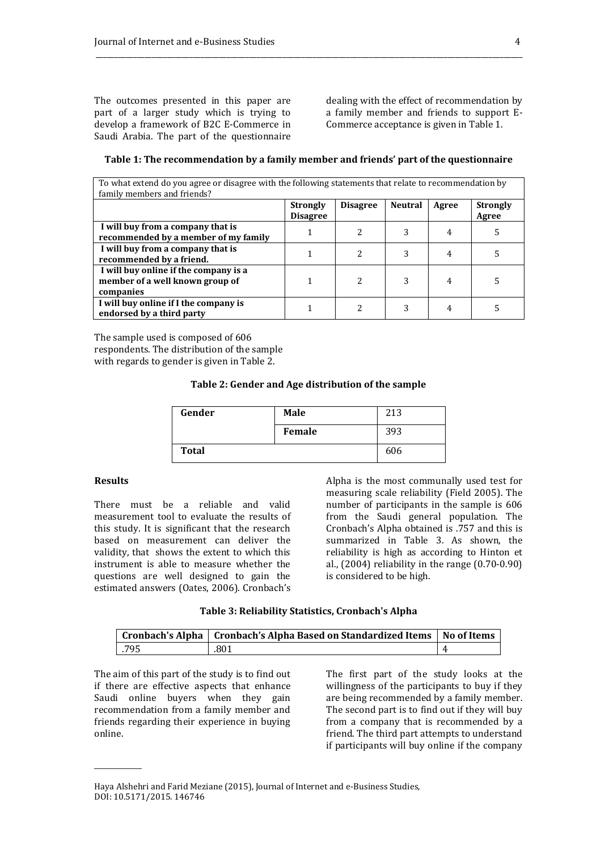The outcomes presented in this paper are part of a larger study which is trying to develop a framework of B2C E-Commerce in Saudi Arabia. The part of the questionnaire

dealing with the effect of recommendation by a family member and friends to support E-Commerce acceptance is given in Table 1.

| family members and friends?                                                           |                                    |                 |                |       |                          |
|---------------------------------------------------------------------------------------|------------------------------------|-----------------|----------------|-------|--------------------------|
|                                                                                       | <b>Strongly</b><br><b>Disagree</b> | <b>Disagree</b> | <b>Neutral</b> | Agree | <b>Strongly</b><br>Agree |
| I will buy from a company that is<br>recommended by a member of my family             |                                    | 2               |                | 4     |                          |
| I will buy from a company that is<br>recommended by a friend.                         |                                    | 2               |                | 4     |                          |
| I will buy online if the company is a<br>member of a well known group of<br>companies |                                    | 2               | 3              | 4     |                          |
| I will buy online if I the company is<br>endorsed by a third party                    |                                    | 2               | 3              | 4     |                          |

#### **Table 1: The recommendation by a family member and friends' part of the questionnaire**

To what extend do you agree or disagree with the following statements that relate to recommendation by

\_\_\_\_\_\_\_\_\_\_\_\_\_\_\_\_\_\_\_\_\_\_\_\_\_\_\_\_\_\_\_\_\_\_\_\_\_\_\_\_\_\_\_\_\_\_\_\_\_\_\_\_\_\_\_\_\_\_\_\_\_\_\_\_\_\_\_\_\_\_\_\_\_\_\_\_\_\_\_\_\_\_\_\_\_\_\_\_\_\_\_\_\_\_\_\_\_\_\_\_\_\_\_\_\_\_\_\_\_\_\_\_\_\_

The sample used is composed of 606 respondents. The distribution of the sample with regards to gender is given in Table 2.

#### **Table 2: Gender and Age distribution of the sample**

| Gender       | <b>Male</b> | 213 |
|--------------|-------------|-----|
|              | Female      | 393 |
| <b>Total</b> |             | 606 |

#### **Results**

\_\_\_\_\_\_\_\_\_\_\_\_\_\_

There must be a reliable and valid measurement tool to evaluate the results of this study. It is significant that the research based on measurement can deliver the validity, that shows the extent to which this instrument is able to measure whether the questions are well designed to gain the estimated answers (Oates, 2006). Cronbach's Alpha is the most communally used test for measuring scale reliability (Field 2005). The number of participants in the sample is 606 from the Saudi general population. The Cronbach's Alpha obtained is .757 and this is summarized in Table 3. As shown, the reliability is high as according to Hinton et al., (2004) reliability in the range (0.70-0.90) is considered to be high.

#### **Table 3: Reliability Statistics, Cronbach's Alpha**

|      | Cronbach's Alpha   Cronbach's Alpha Based on Standardized Items   No of Items |  |
|------|-------------------------------------------------------------------------------|--|
| .795 | .801                                                                          |  |

The aim of this part of the study is to find out if there are effective aspects that enhance Saudi online buyers when they gain recommendation from a family member and friends regarding their experience in buying online.

The first part of the study looks at the willingness of the participants to buy if they are being recommended by a family member. The second part is to find out if they will buy from a company that is recommended by a friend. The third part attempts to understand if participants will buy online if the company

Haya Alshehri and Farid Meziane (2015), Journal of Internet and e-Business Studies, DOI: 10.5171/2015. 146746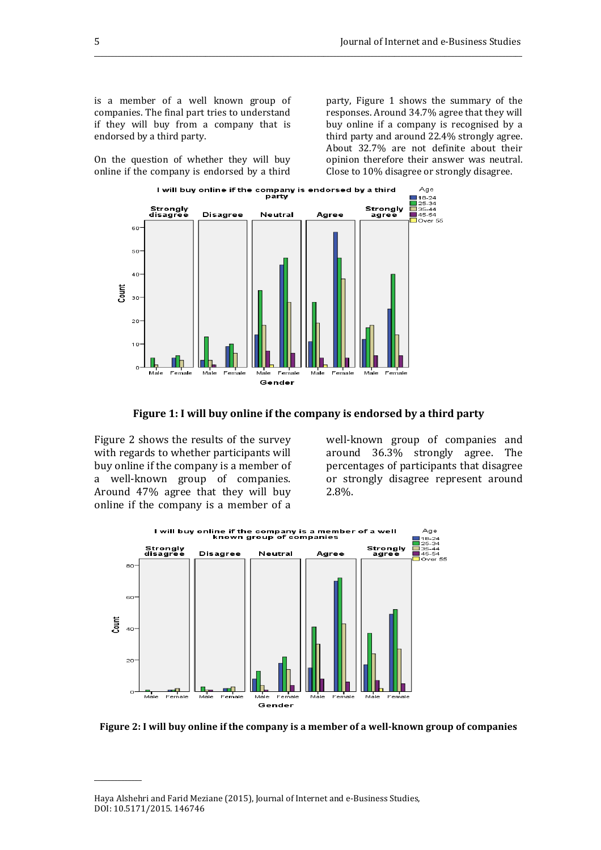is a member of a well known group of companies. The final part tries to understand if they will buy from a company that is endorsed by a third party.

On the question of whether they will buy online if the company is endorsed by a third party, Figure 1 shows the summary of the responses. Around 34.7% agree that they will buy online if a company is recognised by a third party and around 22.4% strongly agree. About 32.7% are not definite about their opinion therefore their answer was neutral. Close to 10% disagree or strongly disagree.



## **Figure 1: I will buy online if the company is endorsed by a third party**

\_\_\_\_\_\_\_\_\_\_\_\_\_\_\_\_\_\_\_\_\_\_\_\_\_\_\_\_\_\_\_\_\_\_\_\_\_\_\_\_\_\_\_\_\_\_\_\_\_\_\_\_\_\_\_\_\_\_\_\_\_\_\_\_\_\_\_\_\_\_\_\_\_\_\_\_\_\_\_\_\_\_\_\_\_\_\_\_\_\_\_\_\_\_\_\_\_\_\_\_\_\_\_\_\_\_\_\_\_\_\_\_\_\_\_\_\_\_\_\_\_\_\_\_\_\_\_

Figure 2 shows the results of the survey with regards to whether participants will buy online if the company is a member of a well-known group of companies. Around 47% agree that they will buy online if the company is a member of a

\_\_\_\_\_\_\_\_\_\_\_\_\_\_

well-known group of companies and around 36.3% strongly agree. The percentages of participants that disagree or strongly disagree represent around 2.8%.



**Figure 2: I will buy online if the company is a member of a well-known group of companies** 

Haya Alshehri and Farid Meziane (2015), Journal of Internet and e-Business Studies, DOI: 10.5171/2015. 146746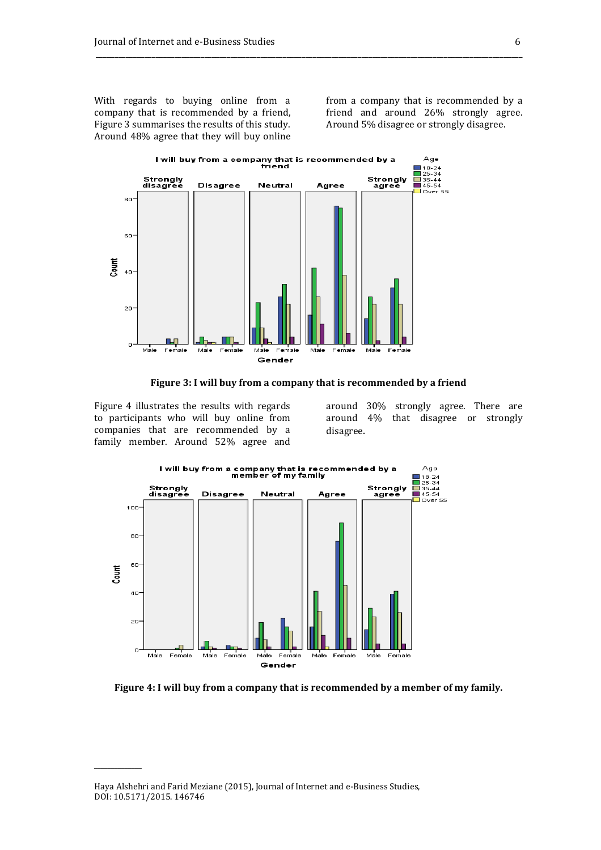With regards to buying online from a company that is recommended by a friend, Figure 3 summarises the results of this study. Around 48% agree that they will buy online from a company that is recommended by a friend and around 26% strongly agree. Around 5% disagree or strongly disagree.



**Figure 3: I will buy from a company that is recommended by a friend** 

\_\_\_\_\_\_\_\_\_\_\_\_\_\_\_\_\_\_\_\_\_\_\_\_\_\_\_\_\_\_\_\_\_\_\_\_\_\_\_\_\_\_\_\_\_\_\_\_\_\_\_\_\_\_\_\_\_\_\_\_\_\_\_\_\_\_\_\_\_\_\_\_\_\_\_\_\_\_\_\_\_\_\_\_\_\_\_\_\_\_\_\_\_\_\_\_\_\_\_\_\_\_\_\_\_\_\_\_\_\_\_\_\_\_

Figure 4 illustrates the results with regards to participants who will buy online from companies that are recommended by a family member. Around 52% agree and

\_\_\_\_\_\_\_\_\_\_\_\_\_\_

around 30% strongly agree. There are around 4% that disagree or strongly disagree.



**Figure 4: I will buy from a company that is recommended by a member of my family.** 

Haya Alshehri and Farid Meziane (2015), Journal of Internet and e-Business Studies, DOI: 10.5171/2015. 146746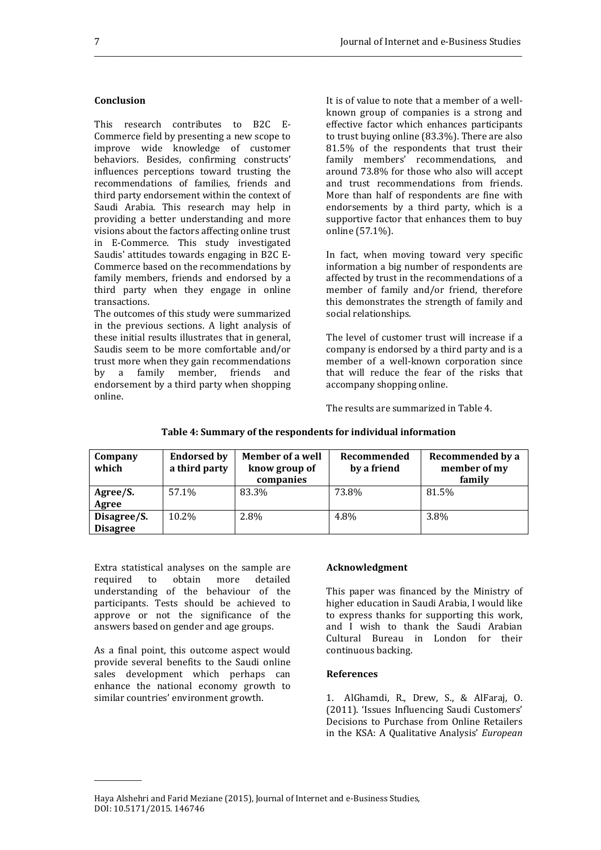#### **Conclusion**

This research contributes to B2C E-Commerce field by presenting a new scope to improve wide knowledge of customer behaviors. Besides, confirming constructs' influences perceptions toward trusting the recommendations of families, friends and third party endorsement within the context of Saudi Arabia. This research may help in providing a better understanding and more visions about the factors affecting online trust in E-Commerce. This study investigated Saudis' attitudes towards engaging in B2C E-Commerce based on the recommendations by family members, friends and endorsed by a third party when they engage in online transactions.

The outcomes of this study were summarized in the previous sections. A light analysis of these initial results illustrates that in general, Saudis seem to be more comfortable and/or trust more when they gain recommendations by a family member, friends and endorsement by a third party when shopping online.

It is of value to note that a member of a wellknown group of companies is a strong and effective factor which enhances participants to trust buying online (83.3%). There are also 81.5% of the respondents that trust their family members' recommendations, and around 73.8% for those who also will accept and trust recommendations from friends. More than half of respondents are fine with endorsements by a third party, which is a supportive factor that enhances them to buy online (57.1%).

In fact, when moving toward very specific information a big number of respondents are affected by trust in the recommendations of a member of family and/or friend, therefore this demonstrates the strength of family and social relationships.

The level of customer trust will increase if a company is endorsed by a third party and is a member of a well-known corporation since that will reduce the fear of the risks that accompany shopping online.

The results are summarized in Table 4.

| Company<br>which | <b>Endorsed by</b><br>a third party | <b>Member of a well</b><br>know group of<br>companies | Recommended<br>by a friend | Recommended by a<br>member of my<br>family |
|------------------|-------------------------------------|-------------------------------------------------------|----------------------------|--------------------------------------------|
| Agree/S.         | 57.1%                               | 83.3%                                                 | 73.8%                      | 81.5%                                      |
| Agree            |                                     |                                                       |                            |                                            |
| Disagree/S.      | 10.2%                               | 2.8%                                                  | 4.8%                       | 3.8%                                       |
| <b>Disagree</b>  |                                     |                                                       |                            |                                            |

#### **Table 4: Summary of the respondents for individual information**

\_\_\_\_\_\_\_\_\_\_\_\_\_\_\_\_\_\_\_\_\_\_\_\_\_\_\_\_\_\_\_\_\_\_\_\_\_\_\_\_\_\_\_\_\_\_\_\_\_\_\_\_\_\_\_\_\_\_\_\_\_\_\_\_\_\_\_\_\_\_\_\_\_\_\_\_\_\_\_\_\_\_\_\_\_\_\_\_\_\_\_\_\_\_\_\_\_\_\_\_\_\_\_\_\_\_\_\_\_\_\_\_\_\_\_\_\_\_\_\_\_\_\_\_\_\_\_

Extra statistical analyses on the sample are required to obtain more detailed understanding of the behaviour of the participants. Tests should be achieved to approve or not the significance of the answers based on gender and age groups.

As a final point, this outcome aspect would provide several benefits to the Saudi online sales development which perhaps can enhance the national economy growth to similar countries' environment growth.

\_\_\_\_\_\_\_\_\_\_\_\_\_\_

# **Acknowledgment**

This paper was financed by the Ministry of higher education in Saudi Arabia, I would like to express thanks for supporting this work, and I wish to thank the Saudi Arabian Cultural Bureau in London for their continuous backing.

#### **References**

1. AlGhamdi, R., Drew, S., & AlFaraj, O. (2011). 'Issues Influencing Saudi Customers' Decisions to Purchase from Online Retailers in the KSA: A Qualitative Analysis' *European* 

Haya Alshehri and Farid Meziane (2015), Journal of Internet and e-Business Studies, DOI: 10.5171/2015. 146746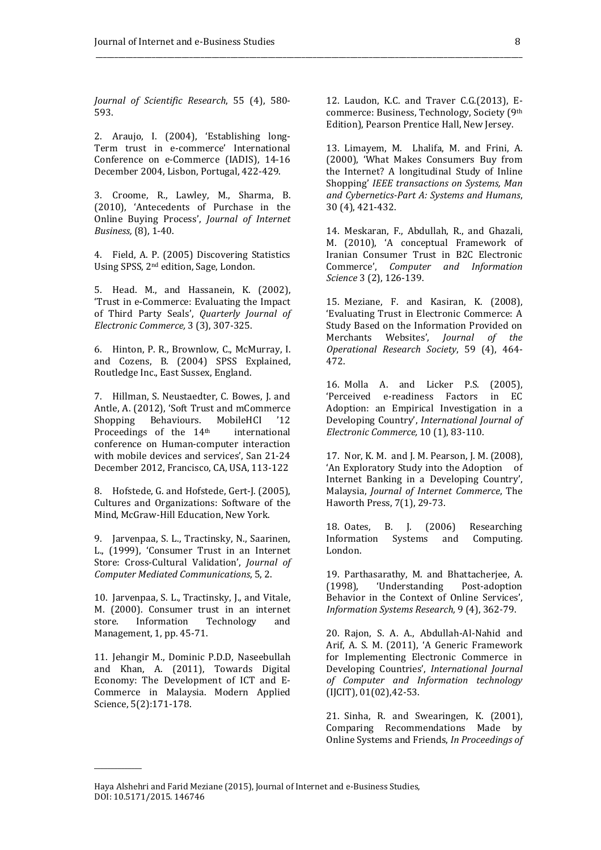*Journal of Scientific Research*, 55 (4), 580- 593.

2. Araujo, I. (2004), 'Establishing long-Term trust in e-commerce' International Conference on e-Commerce (IADIS), 14-16 December 2004, Lisbon, Portugal, 422-429.

3. Croome, R., Lawley, M., Sharma, B. (2010), 'Antecedents of Purchase in the Online Buying Process', *Journal of Internet Business,* (8), 1-40.

4. Field, A. P. (2005) Discovering Statistics Using SPSS, 2nd edition, Sage, London.

5. Head. M., and Hassanein, K. (2002), 'Trust in e-Commerce: Evaluating the Impact of Third Party Seals', *Quarterly Journal of Electronic Commerce,* 3 (3), 307-325.

6. Hinton, P. R., Brownlow, C., McMurray, I. and Cozens, B. (2004) SPSS Explained, Routledge Inc., East Sussex, England.

7. Hillman, S. Neustaedter, C. Bowes, J. and Antle, A. (2012), 'Soft Trust and mCommerce<br>Shopping Behaviours. MobileHCl '12 Shopping Behaviours. MobileHCI '12 Proceedings of the 14<sup>th</sup> international conference on Human-computer interaction with mobile devices and services', San 21-24 December 2012, Francisco, CA, USA, 113-122

8. Hofstede, G. and Hofstede, Gert-J. (2005), Cultures and Organizations: Software of the Mind, McGraw-Hill Education, New York.

9. Jarvenpaa, S. L., Tractinsky, N., Saarinen, L., (1999), 'Consumer Trust in an Internet Store: Cross-Cultural Validation', *Journal of Computer Mediated Communications*, 5, 2.

10. Jarvenpaa, S. L., Tractinsky, J., and Vitale, M. (2000). Consumer trust in an internet store. Information Technology and Management, 1, pp. 45-71.

11. Jehangir M., Dominic P.D.D, Naseebullah and Khan, A. (2011), Towards Digital Economy: The Development of ICT and E-Commerce in Malaysia. Modern Applied Science, 5(2):171-178.

\_\_\_\_\_\_\_\_\_\_\_\_\_\_

12. Laudon, K.C. and Traver C.G.(2013), Ecommerce: Business, Technology, Society (9th Edition), Pearson Prentice Hall, New Jersey.

\_\_\_\_\_\_\_\_\_\_\_\_\_\_\_\_\_\_\_\_\_\_\_\_\_\_\_\_\_\_\_\_\_\_\_\_\_\_\_\_\_\_\_\_\_\_\_\_\_\_\_\_\_\_\_\_\_\_\_\_\_\_\_\_\_\_\_\_\_\_\_\_\_\_\_\_\_\_\_\_\_\_\_\_\_\_\_\_\_\_\_\_\_\_\_\_\_\_\_\_\_\_\_\_\_\_\_\_\_\_\_\_\_\_

13. Limayem, M. Lhalifa, M. and Frini, A. (2000), 'What Makes Consumers Buy from the Internet? A longitudinal Study of Inline Shopping' *IEEE transactions on Systems, Man and Cybernetics-Part A: Systems and Humans*, 30 (4), 421-432.

14. Meskaran, F., Abdullah, R., and Ghazali, M. (2010), 'A conceptual Framework of Iranian Consumer Trust in B2C Electronic Commerce', *Computer and Information Science* 3 (2), 126-139.

15. Meziane, F. and Kasiran, K. (2008), 'Evaluating Trust in Electronic Commerce: A Study Based on the Information Provided on Merchants Websites', *Journal of the Operational Research Society*, 59 (4), 464- 472.

16. Molla A. and Licker P.S. (2005), 'Perceived e-readiness Factors in EC Adoption: an Empirical Investigation in a Developing Country', *International Journal of Electronic Commerce,* 10 (1), 83-110.

17. Nor, K. M. and J. M. Pearson, J. M. (2008), 'An Exploratory Study into the Adoption of Internet Banking in a Developing Country', Malaysia, *Journal of Internet Commerce*, The Haworth Press, 7(1), 29-73.

18. Oates, B. J. (2006) Researching Information Systems and Computing. London.

19. Parthasarathy, M. and Bhattacherjee, A. (1998), 'Understanding Post-adoption Behavior in the Context of Online Services', *Information Systems Research,* 9 (4), 362-79.

20. Rajon, S. A. A., Abdullah-Al-Nahid and Arif, A. S. M. (2011), 'A Generic Framework for Implementing Electronic Commerce in Developing Countries', *International Journal of Computer and Information technology* (IJCIT), 01(02),42-53.

21. Sinha, R. and Swearingen, K. (2001), Comparing Recommendations Made by Online Systems and Friends, *In Proceedings of* 

Haya Alshehri and Farid Meziane (2015), Journal of Internet and e-Business Studies, DOI: 10.5171/2015. 146746